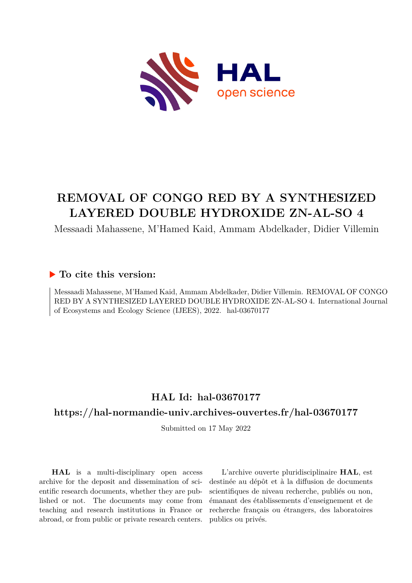

# **REMOVAL OF CONGO RED BY A SYNTHESIZED LAYERED DOUBLE HYDROXIDE ZN-AL-SO 4**

Messaadi Mahassene, M'Hamed Kaid, Ammam Abdelkader, Didier Villemin

#### **To cite this version:**

Messaadi Mahassene, M'Hamed Kaid, Ammam Abdelkader, Didier Villemin. REMOVAL OF CONGO RED BY A SYNTHESIZED LAYERED DOUBLE HYDROXIDE ZN-AL-SO 4. International Journal of Ecosystems and Ecology Science (IJEES), 2022. hal-03670177

# **HAL Id: hal-03670177**

## **<https://hal-normandie-univ.archives-ouvertes.fr/hal-03670177>**

Submitted on 17 May 2022

**HAL** is a multi-disciplinary open access archive for the deposit and dissemination of scientific research documents, whether they are published or not. The documents may come from teaching and research institutions in France or abroad, or from public or private research centers.

L'archive ouverte pluridisciplinaire **HAL**, est destinée au dépôt et à la diffusion de documents scientifiques de niveau recherche, publiés ou non, émanant des établissements d'enseignement et de recherche français ou étrangers, des laboratoires publics ou privés.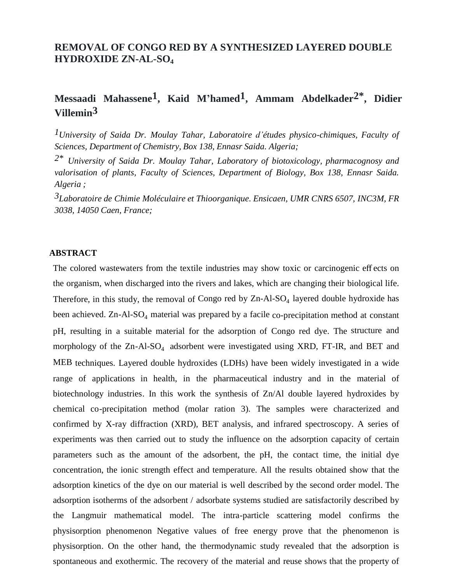#### **REMOVAL OF CONGO RED BY A SYNTHESIZED LAYERED DOUBLE HYDROXIDE ZN-AL-SO<sup>4</sup>**

# **Messaadi Mahassene1 , Kaid M'hamed1 , Ammam Abdelkader2\* , Didier Villemin3**

*1University of Saida Dr. Moulay Tahar, Laboratoire d'études physico-chimiques, Faculty of Sciences, Department of Chemistry, Box 138, Ennasr Saida. Algeria;*

*2\* University of Saida Dr. Moulay Tahar, Laboratory of biotoxicology, pharmacognosy and valorisation of plants, Faculty of Sciences, Department of Biology, Box 138, Ennasr Saida. Algeria ;*

*3Laboratoire de Chimie Moléculaire et Thioorganique. Ensicaen, UMR CNRS 6507, INC3M, FR 3038, 14050 Caen, France;*

#### **ABSTRACT**

The colored wastewaters from the textile industries may show toxic or carcinogenic eff ects on the organism, when discharged into the rivers and lakes, which are changing their biological life. Therefore, in this study, the removal of Congo red by  $Zn-Al-SO<sub>4</sub>$  layered double hydroxide has been achieved.  $Zn-Al-SO_4$  material was prepared by a facile co-precipitation method at constant pH, resulting in a suitable material for the adsorption of Congo red dye. The structure and morphology of the  $Zn-Al-SO<sub>4</sub>$  adsorbent were investigated using XRD, FT-IR, and BET and MEB techniques. Layered double hydroxides (LDHs) have been widely investigated in a wide range of applications in health, in the pharmaceutical industry and in the material of biotechnology industries. In this work the synthesis of Zn/Al double layered hydroxides by chemical co-precipitation method (molar ration 3). The samples were characterized and confirmed by X-ray diffraction (XRD), BET analysis, and infrared spectroscopy. A series of experiments was then carried out to study the influence on the adsorption capacity of certain parameters such as the amount of the adsorbent, the pH, the contact time, the initial dye concentration, the ionic strength effect and temperature. All the results obtained show that the adsorption kinetics of the dye on our material is well described by the second order model. The adsorption isotherms of the adsorbent / adsorbate systems studied are satisfactorily described by the Langmuir mathematical model. The intra-particle scattering model confirms the physisorption phenomenon Negative values of free energy prove that the phenomenon is physisorption. On the other hand, the thermodynamic study revealed that the adsorption is spontaneous and exothermic. The recovery of the material and reuse shows that the property of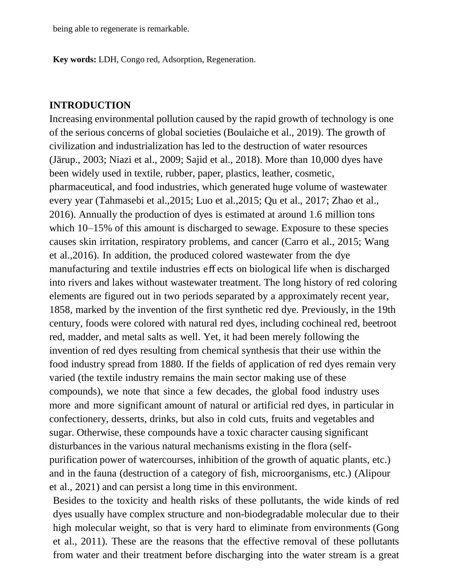being able to regenerate is remarkable.

**Key words:** LDH, Congo red, Adsorption, Regeneration.

#### **INTRODUCTION**

Increasing environmental pollution caused by the rapid growth of technology is one of the serious concerns of global societies (Boulaiche et al., 2019). The growth of civilization and industrialization has led to the destruction of water resources (Järup., 2003; Niazi et al., 2009; Sajid et al., 2018). More than 10,000 dyes have been widely used in textile, rubber, paper, plastics, leather, cosmetic, pharmaceutical, and food industries, which generated huge volume of wastewater every year (Tahmasebi et al.,2015; Luo et al.,2015; Qu et al., 2017; Zhao et al., 2016). Annually the production of dyes is estimated at around 1.6 million tons which 10–15% of this amount is discharged to sewage. Exposure to these species causes skin irritation, respiratory problems, and cancer (Carro et al., 2015; Wang et al.,2016). In addition, the produced colored wastewater from the dye manufacturing and textile industries eff ects on biological life when is discharged into rivers and lakes without wastewater treatment. The long history of red coloring elements are figured out in two periods separated by a approximately recent year, 1858, marked by the invention of the first synthetic red dye. Previously, in the 19th century, foods were colored with natural red dyes, including cochineal red, beetroot red, madder, and metal salts as well. Yet, it had been merely following the invention of red dyes resulting from chemical synthesis that their use within the food industry spread from 1880. If the fields of application of red dyes remain very varied (the textile industry remains the main sector making use of these compounds), we note that since a few decades, the global food industry uses more and more significant amount of natural or artificial red dyes, in particular in confectionery, desserts, drinks, but also in cold cuts, fruits and vegetables and sugar. Otherwise, these compounds have a toxic character causing significant disturbances in the various natural mechanisms existing in the flora (selfpurification power of watercourses, inhibition of the growth of aquatic plants, etc.) and in the fauna (destruction of a category of fish, microorganisms, etc.) (Alipour et al., 2021) and can persist a long time in this environment.

Besides to the toxicity and health risks of these pollutants, the wide kinds of red dyes usually have complex structure and non-biodegradable molecular due to their high molecular weight, so that is very hard to eliminate from environments (Gong et al., 2011). These are the reasons that the effective removal of these pollutants from water and their treatment before discharging into the water stream is a great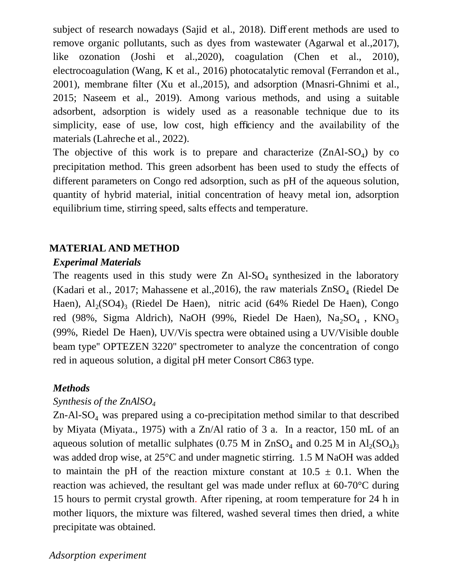subject of research nowadays (Sajid et al., 2018). Diff erent methods are used to remove organic pollutants, such as dyes from wastewater (Agarwal et al.,2017), like ozonation (Joshi et al.,2020), coagulation (Chen et al., 2010), electrocoagulation (Wang, K et al., 2016) photocatalytic removal (Ferrandon et al., 2001), membrane filter (Xu et al.,2015), and adsorption (Mnasri-Ghnimi et al., 2015; Naseem et al., 2019). Among various methods, and using a suitable adsorbent, adsorption is widely used as a reasonable technique due to its simplicity, ease of use, low cost, high efficiency and the availability of the materials (Lahreche et al., 2022).

The objective of this work is to prepare and characterize  $(ZnA1-SO<sub>4</sub>)$  by co precipitation method. This green adsorbent has been used to study the effects of different parameters on Congo red adsorption, such as pH of the aqueous solution, quantity of hybrid material, initial concentration of heavy metal ion, adsorption equilibrium time, stirring speed, salts effects and temperature.

### **MATERIAL AND METHOD**

#### *Experimal Materials*

The reagents used in this study were  $Zn$  Al-SO<sub>4</sub> synthesized in the laboratory (Kadari et al., 2017; Mahassene et al., 2016), the raw materials  $ZnSO<sub>4</sub>$  (Riedel De Haen), Al<sub>2</sub>(SO4)<sub>3</sub> (Riedel De Haen), nitric acid (64% Riedel De Haen), Congo red (98%, Sigma Aldrich), NaOH (99%, Riedel De Haen), Na<sub>2</sub>SO<sub>4</sub>, KNO<sub>3</sub> (99%, Riedel De Haen), UV/Vis spectra were obtained using a UV/Visible double beam type'' OPTEZEN 3220'' spectrometer to analyze the concentration of congo red in aqueous solution, a digital pH meter Consort C863 type.

#### *Methods*

#### *Synthesis of the ZnAlSO<sup>4</sup>*

 $Zn-Al-SO<sub>4</sub>$  was prepared using a co-precipitation method similar to that described by Miyata (Miyata., 1975) with a Zn/Al ratio of 3 a. In a reactor, 150 mL of an aqueous solution of metallic sulphates (0.75 M in  $ZnSO_4$  and 0.25 M in  $Al_2(SO_4)_3$ was added drop wise, at 25°C and under magnetic stirring. 1.5 M NaOH was added to maintain the pH of the reaction mixture constant at  $10.5 \pm 0.1$ . When the reaction was achieved, the resultant gel was made under reflux at 60-70°C during 15 hours to permit crystal growth. After ripening, at room temperature for 24 h in mother liquors, the mixture was filtered, washed several times then dried, a white precipitate was obtained.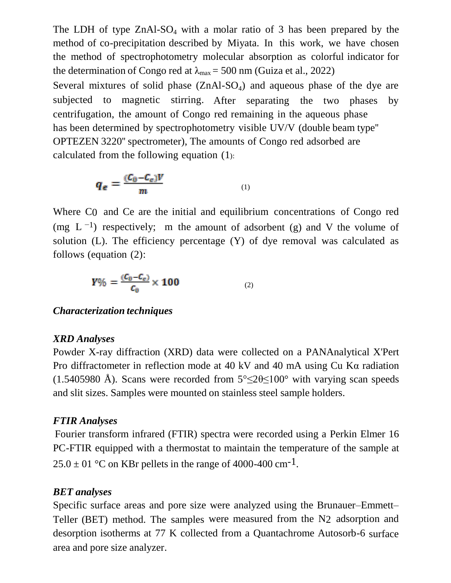The LDH of type  $ZnAl-SO<sub>4</sub>$  with a molar ratio of 3 has been prepared by the method of co-precipitation described by Miyata. In this work, we have chosen the method of spectrophotometry molecular absorption as colorful indicator for the determination of Congo red at  $\lambda_{\text{max}} = 500 \text{ nm}$  (Guiza et al., 2022) Several mixtures of solid phase  $(ZnAl-SO<sub>4</sub>)$  and aqueous phase of the dye are subjected to magnetic stirring. After separating the two phases by centrifugation, the amount of Congo red remaining in the aqueous phase has been determined by spectrophotometry visible UV/V (double beam type'' OPTEZEN 3220'' spectrometer), The amounts of Congo red adsorbed are calculated from the following equation (1):

$$
q_e = \frac{(C_0 - C_c)V}{m} \tag{1}
$$

Where C<sub>0</sub> and Ce are the initial and equilibrium concentrations of Congo red (mg  $L^{-1}$ ) respectively; m the amount of adsorbent (g) and V the volume of solution (L). The efficiency percentage (Y) of dye removal was calculated as follows (equation (2):

$$
Y\% = \frac{(C_0 - C_e)}{C_0} \times 100
$$
 (2)

#### *Characterization techniques*

#### *XRD Analyses*

Powder X-ray diffraction (XRD) data were collected on a PANAnalytical X'Pert Pro diffractometer in reflection mode at 40 kV and 40 mA using Cu Kα radiation (1.5405980 Å). Scans were recorded from  $5^{\circ} \le 20 \le 100^{\circ}$  with varying scan speeds and slit sizes. Samples were mounted on stainless steel sample holders.

### *FTIR Analyses*

Fourier transform infrared (FTIR) spectra were recorded using a Perkin Elmer 16 PC-FTIR equipped with a thermostat to maintain the temperature of the sample at  $25.0 \pm 01$  °C on KBr pellets in the range of 4000-400 cm<sup>-1</sup>.

### *BET analyses*

Specific surface areas and pore size were analyzed using the Brunauer–Emmett– Teller (BET) method. The samples were measured from the N2 adsorption and desorption isotherms at 77 K collected from a Quantachrome Autosorb-6 surface area and pore size analyzer.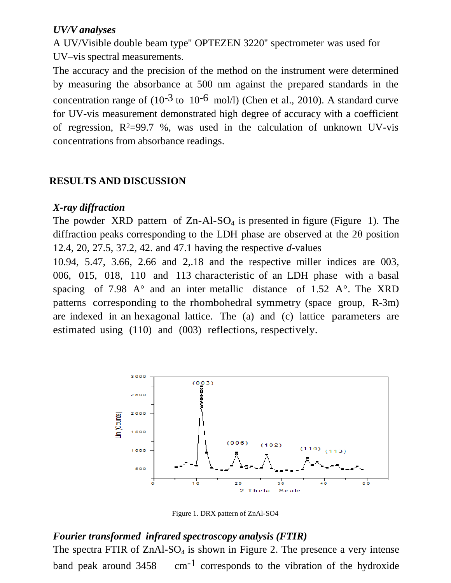#### *UV/V analyses*

A UV/Visible double beam type'' OPTEZEN 3220'' spectrometer was used for UV–vis spectral measurements.

The accuracy and the precision of the method on the instrument were determined by measuring the absorbance at 500 nm against the prepared standards in the concentration range of  $(10^{-3} \text{ to } 10^{-6} \text{ mol/}1)$  (Chen et al., 2010). A standard curve for UV-vis measurement demonstrated high degree of accuracy with a coefficient of regression,  $R^2=99.7$  %, was used in the calculation of unknown UV-vis concentrations from absorbance readings.

# **RESULTS AND DISCUSSION**

#### *X-ray diffraction*

The powder XRD pattern of  $Zn-Al-SO<sub>4</sub>$  is presented in figure (Figure 1). The diffraction peaks corresponding to the LDH phase are observed at the 2θ position 12.4, 20, 27.5, 37.2, 42. and 47.1 having the respective *d*-values

10.94, 5.47, 3.66, 2.66 and 2,.18 and the respective miller indices are 003, 006, 015, 018, 110 and 113 characteristic of an LDH phase with a basal spacing of 7.98  $A^{\circ}$  and an inter metallic distance of 1.52  $A^{\circ}$ . The XRD patterns corresponding to the rhombohedral symmetry (space group, R-3m) are indexed in an hexagonal lattice. The (a) and (c) lattice parameters are estimated using (110) and (003) reflections, respectively.



Figure 1. DRX pattern of ZnAl-SO4

# *Fourier transformed infrared spectroscopy analysis (FTIR)*

The spectra FTIR of  $ZnAl-SO<sub>4</sub>$  is shown in Figure 2. The presence a very intense band peak around  $3458$  cm<sup>-1</sup> corresponds to the vibration of the hydroxide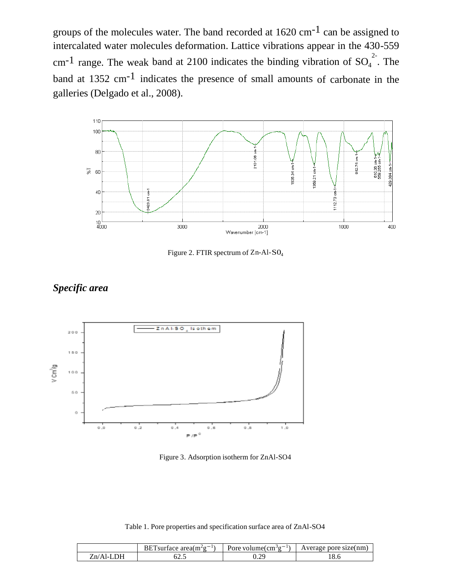groups of the molecules water. The band recorded at  $1620 \text{ cm}^{-1}$  can be assigned to intercalated water molecules deformation. Lattice vibrations appear in the 430-559 cm<sup>-1</sup> range. The weak band at 2100 indicates the binding vibration of  $SO_4^2$ . The band at 1352 cm-1 indicates the presence of small amounts of carbonate in the galleries (Delgado et al., 2008).



Figure 2. FTIR spectrum of Zn-Al-S0<sup>4</sup>





Figure 3. Adsorption isotherm for ZnAl-SO4

Table 1. Pore properties and specification surface area of ZnAl-SO4

|           | BETsurface area $(m2g-1)$ | Pore volume $\text{cm}^3\text{g}^{-1}$ ) | Average pore size(nm) |
|-----------|---------------------------|------------------------------------------|-----------------------|
| Zn/Al-LDH | سەلىكە 1                  | $J \cdot \mathcal{L}$                    |                       |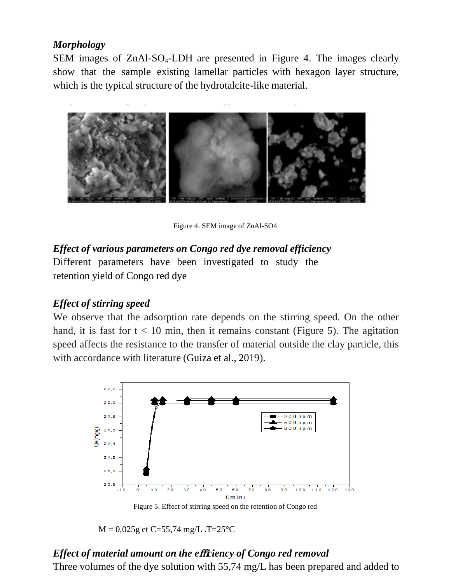#### *Morphology*

SEM images of ZnAl-SO<sub>4</sub>-LDH are presented in Figure 4. The images clearly show that the sample existing lamellar particles with hexagon layer structure, which is the typical structure of the hydrotalcite-like material.



Figure 4. SEM image of ZnAl-SO4

# *Effect of various parameters on Congo red dye removal efficiency*

Different parameters have been investigated to study the retention yield of Congo red dye

### *Effect of stirring speed*

We observe that the adsorption rate depends on the stirring speed. On the other hand, it is fast for  $t < 10$  min, then it remains constant (Figure 5). The agitation speed affects the resistance to the transfer of material outside the clay particle, this with accordance with literature (Guiza et al., 2019).



Figure 5. Effect of stirring speed on the retention of Congo red

 $M = 0.025g$  et C=55,74 mg/L .T=25°C

# *Effect of material amount on the e*ffi*ciency of Congo red removal*

Three volumes of the dye solution with 55,74 mg/L has been prepared and added to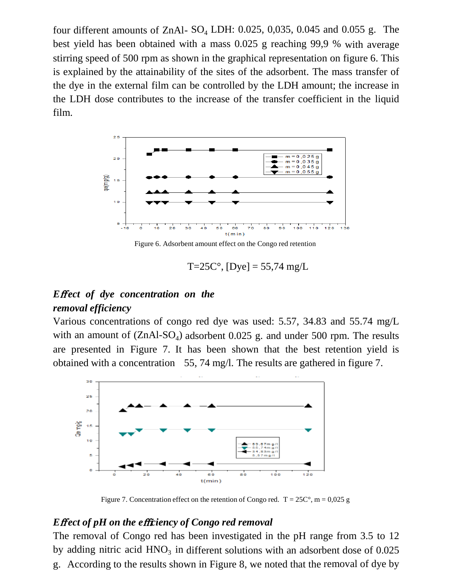four different amounts of ZnAl- $SO_4$  LDH: 0.025, 0,035, 0.045 and 0.055 g. The best yield has been obtained with a mass 0.025 g reaching 99,9 % with average stirring speed of 500 rpm as shown in the graphical representation on figure 6. This is explained by the attainability of the sites of the adsorbent. The mass transfer of the dye in the external film can be controlled by the LDH amount; the increase in the LDH dose contributes to the increase of the transfer coefficient in the liquid film.



Figure 6. Adsorbent amount effect on the Congo red retention

 $T=25C^{\circ}$ , [Dye] = 55,74 mg/L

# *E*ff *ect of dye concentration on the removal efficiency*

Various concentrations of congo red dye was used: 5.57, 34.83 and 55.74 mg/L with an amount of  $(ZnA1-SO<sub>4</sub>)$  adsorbent 0.025 g. and under 500 rpm. The results are presented in Figure 7. It has been shown that the best retention yield is obtained with a concentration 55, 74 mg/l. The results are gathered in figure 7.



Figure 7. Concentration effect on the retention of Congo red.  $T = 25C^{\circ}$ , m = 0,025 g

### *E*ff *ect of pH on the e*ffi*ciency of Congo red removal*

The removal of Congo red has been investigated in the pH range from 3.5 to 12 by adding nitric acid  $HNO<sub>3</sub>$  in different solutions with an adsorbent dose of 0.025 g. According to the results shown in Figure 8, we noted that the removal of dye by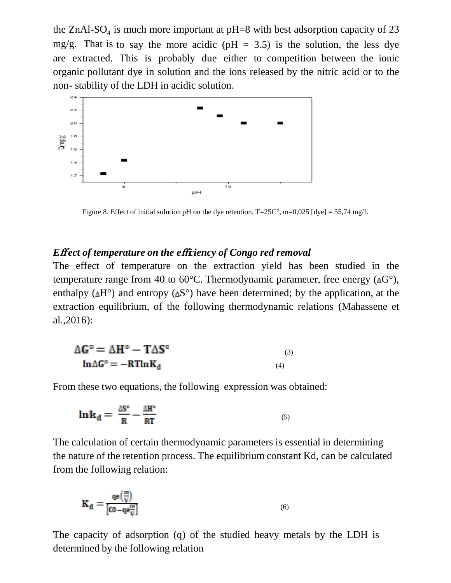the ZnAl-SO<sub>4</sub> is much more important at  $pH=8$  with best adsorption capacity of 23 mg/g. That is to say the more acidic ( $pH = 3.5$ ) is the solution, the less dye are extracted. This is probably due either to competition between the ionic organic pollutant dye in solution and the ions released by the nitric acid or to the non- stability of the LDH in acidic solution.



Figure 8. Effect of initial solution pH on the dye retention. T=25C°, m=0,025 [dye] = 55,74 mg/L

#### *E*ff *ect of temperature on the e*ffi*ciency of Congo red removal*

The effect of temperature on the extraction yield has been studied in the temperature range from 40 to 60 $^{\circ}$ C. Thermodynamic parameter, free energy ( $\Delta G^{\circ}$ ), enthalpy  $(AH^{\circ})$  and entropy  $(AS^{\circ})$  have been determined; by the application, at the extraction equilibrium, of the following thermodynamic relations (Mahassene et al.,2016):

$$
\Delta G^{\circ} = \Delta H^{\circ} - T\Delta S^{\circ}
$$
\n
$$
\ln \Delta G^{\circ} = -RT \ln K_d
$$
\n(3)

From these two equations, the following expression was obtained:

$$
\ln k_d = \frac{\Delta S^\circ}{R} - \frac{\Delta H^\circ}{RT} \tag{5}
$$

The calculation of certain thermodynamic parameters is essential in determining the nature of the retention process. The equilibrium constant Kd, can be calculated from the following relation:

$$
\mathbf{K}_{\mathbf{d}} = \frac{\mathbf{q}\mathbf{e}\left(\frac{\mathbf{m}}{V}\right)}{\left[\mathbf{C}\mathbf{0} - \mathbf{q}\mathbf{e}\frac{\mathbf{m}}{V}\right]}
$$
(6)

The capacity of adsorption (q) of the studied heavy metals by the LDH is determined by the following relation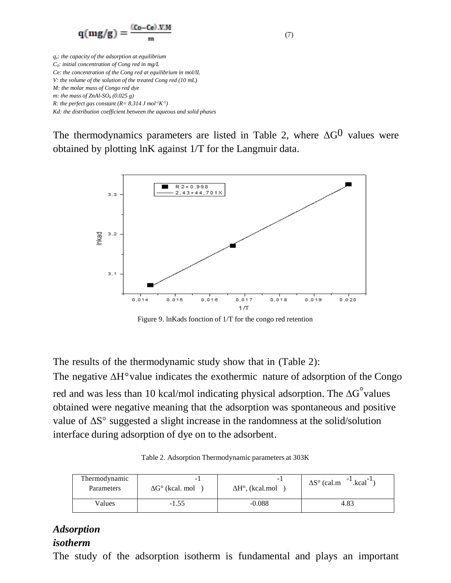$$
q(mg/g) = \frac{(C_0 - C_0) . V.M}{m}
$$

(7)

*qe: the capacity of the adsorption at equilibrium C0: initial concentration of Cong red in mg/L Ce: the concentration of the Cong red at equilibrium in mol/lL V: the volume of the solution of the treated Cong red (10 mL) M: the molar mass of Congo red dye m: the mass of ZnAl-SO<sup>4</sup> (0.025 g) R: the perfect gas constant*  $(R = 8.314 \text{ J} \text{ mol}^{-1} \text{K}^{-1})$ *Kd: the distribution coefficient between the aqueous and solid phases*

The thermodynamics parameters are listed in Table 2, where  $\Delta G^0$  values were obtained by plotting lnK against 1/T for the Langmuir data.



Figure 9. lnKads fonction of 1/T for the congo red retention

The results of the thermodynamic study show that in (Table 2):

The negative ∆H°value indicates the exothermic nature of adsorption of the Congo red and was less than 10 kcal/mol indicating physical adsorption. The ∆G°values obtained were negative meaning that the adsorption was spontaneous and positive value of ∆S° suggested a slight increase in the randomness at the solid/solution interface during adsorption of dye on to the adsorbent.

Table 2. Adsorption Thermodynamic parameters at 303K

| Thermodynamic | -                             | - 1                            | $\Lambda$ .kcal            |
|---------------|-------------------------------|--------------------------------|----------------------------|
| Parameters    | $\Delta G^{\circ}$ (kcal. mol | $\Delta H^{\circ}$ , (kcal.mol | $\Delta S^{\circ}$ (cal.m) |
| Values        | $-1.55$                       | $-0.088$                       | 4.83                       |

#### *Adsorption isotherm*

The study of the adsorption isotherm is fundamental and plays an important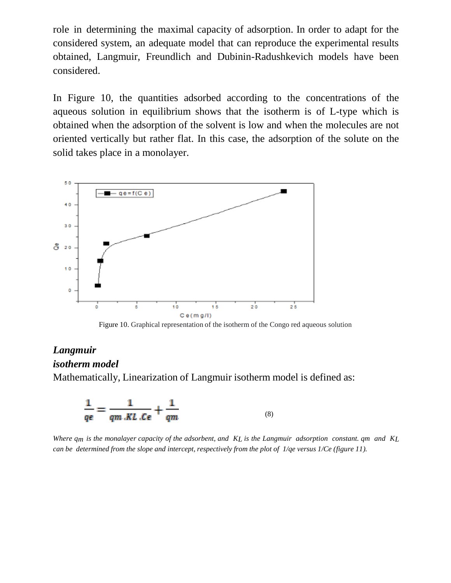role in determining the maximal capacity of adsorption. In order to adapt for the considered system, an adequate model that can reproduce the experimental results obtained, Langmuir, Freundlich and Dubinin-Radushkevich models have been considered.

In Figure 10, the quantities adsorbed according to the concentrations of the aqueous solution in equilibrium shows that the isotherm is of L-type which is obtained when the adsorption of the solvent is low and when the molecules are not oriented vertically but rather flat. In this case, the adsorption of the solute on the solid takes place in a monolayer.



Figure 10. Graphical representation of the isotherm of the Congo red aqueous solution

# *Langmuir isotherm model* Mathematically, Linearization of Langmuir isotherm model is defined as:



*Where qm is the monalayer capacity of the adsorbent, and KL is the Langmuir adsorption constant. qm and KL* can be determined from the slope and intercept, respectively from the plot of  $1/q$ e versus  $1/Ce$  (figure 11).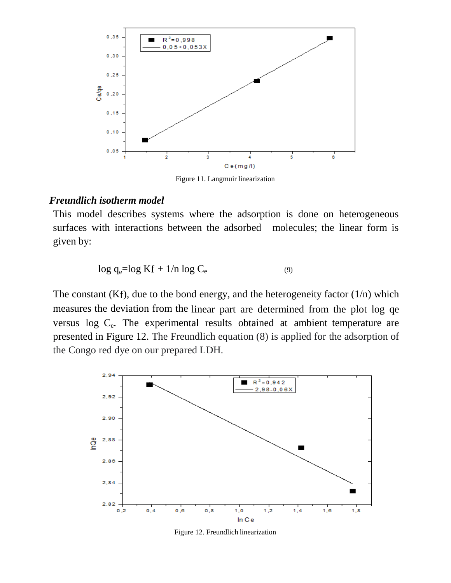

Figure 11. Langmuir linearization

#### *Freundlich isotherm model*

This model describes systems where the adsorption is done on heterogeneous surfaces with interactions between the adsorbed molecules; the linear form is given by:

$$
\log q_e = \log Kf + 1/n \log C_e \tag{9}
$$

The constant  $(Kf)$ , due to the bond energy, and the heterogeneity factor  $(1/n)$  which measures the deviation from the linear part are determined from the plot log qe versus log C<sub>e</sub>. The experimental results obtained at ambient temperature are presented in Figure 12. The Freundlich equation (8) is applied for the adsorption of the Congo red dye on our prepared LDH.



Figure 12. Freundlich linearization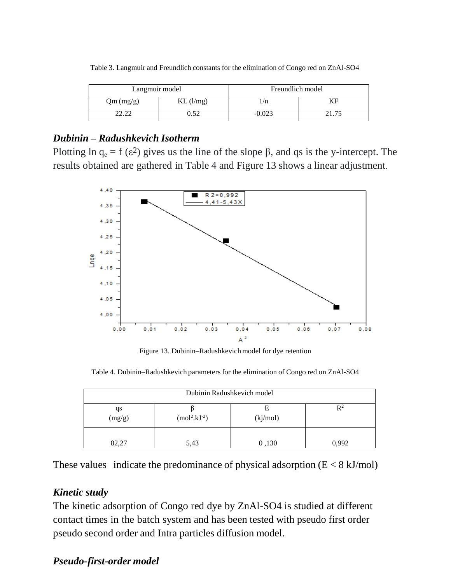| Table 3. Langmuir and Freundlich constants for the elimination of Congo red on ZnAl-SO4 |
|-----------------------------------------------------------------------------------------|
|-----------------------------------------------------------------------------------------|

| Langmuir model           |  | Freundlich model |    |  |
|--------------------------|--|------------------|----|--|
| $KL$ (l/mg)<br>Qm (mg/g) |  |                  | ΓF |  |
| ).52                     |  | $-0.023$         |    |  |

#### *Dubinin – Radushkevich Isotherm*

Plotting ln  $q_e = f(\epsilon^2)$  gives us the line of the slope  $\beta$ , and qs is the y-intercept. The results obtained are gathered in Table 4 and Figure 13 shows a linear adjustment.



Figure 13. Dubinin–Radushkevich model for dye retention

Table 4. Dubinin–Radushkevich parameters for the elimination of Congo red on ZnAl-SO4

| Dubinin Radushkevich model    |      |               |                |  |
|-------------------------------|------|---------------|----------------|--|
| qs<br>(mg/g)<br>$(mol2.kJ-2)$ |      | Е<br>(kj/mol) | $\mathbf{R}^2$ |  |
| 82,27                         | 5,43 | 0,130         | 0,992          |  |

These values indicate the predominance of physical adsorption  $(E < 8 \text{ kJ/mol})$ 

# *Kinetic study*

The kinetic adsorption of Congo red dye by ZnAl-SO4 is studied at different contact times in the batch system and has been tested with pseudo first order pseudo second order and Intra particles diffusion model.

### *Pseudo-first-order model*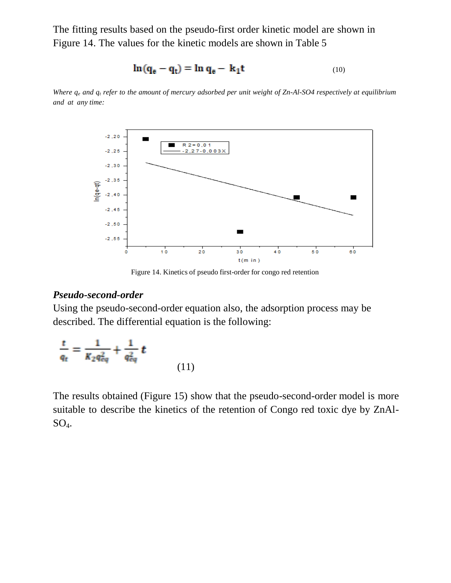The fitting results based on the pseudo-first order kinetic model are shown in Figure 14. The values for the kinetic models are shown in Table 5

$$
\ln(\mathbf{q}_e - \mathbf{q}_t) = \ln \mathbf{q}_e - \mathbf{k}_1 \mathbf{t}
$$
 (10)

Where  $q_e$  and  $q_t$  refer to the amount of mercury adsorbed per unit weight of Zn-Al-SO4 respectively at equilibrium *and at any time:*



Figure 14. Kinetics of pseudo first-order for congo red retention

#### *Pseudo-second-order*

Using the pseudo-second-order equation also, the adsorption process may be described. The differential equation is the following:

$$
\frac{t}{q_t} = \frac{1}{K_2 q_{eq}^2} + \frac{1}{q_{eq}^2} t \tag{11}
$$

The results obtained (Figure 15) show that the pseudo-second-order model is more suitable to describe the kinetics of the retention of Congo red toxic dye by ZnAl- $SO_4$ .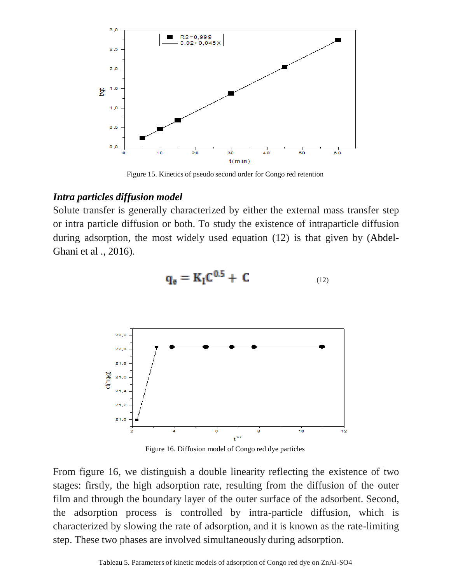

Figure 15. Kinetics of pseudo second order for Congo red retention

#### *Intra particles diffusion model*

Solute transfer is generally characterized by either the external mass transfer step or intra particle diffusion or both. To study the existence of intraparticle diffusion during adsorption, the most widely used equation (12) is that given by (Abdel-Ghani et al ., 2016).



$$
\mathbf{q}_{\mathbf{e}} = \mathbf{K}_{\mathbf{I}} \mathbf{C}^{\mathbf{0.5}} + \mathbf{C} \tag{12}
$$

Figure 16. Diffusion model of Congo red dye particles

From figure 16, we distinguish a double linearity reflecting the existence of two stages: firstly, the high adsorption rate, resulting from the diffusion of the outer film and through the boundary layer of the outer surface of the adsorbent. Second, the adsorption process is controlled by intra-particle diffusion, which is characterized by slowing the rate of adsorption, and it is known as the rate-limiting step. These two phases are involved simultaneously during adsorption.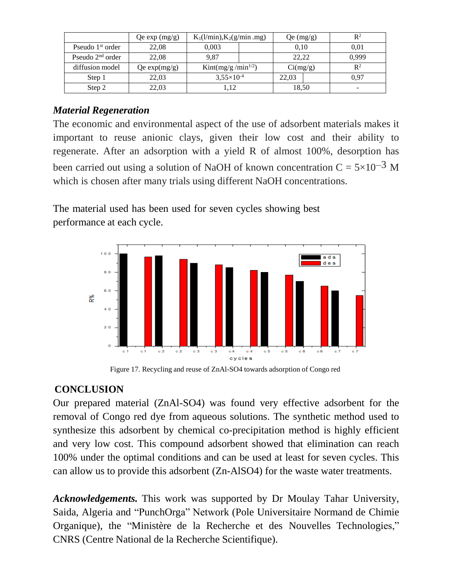|                    | Qe exp (mg/g)   | $K_1(l/min), K_2(g/min, mg)$ |  | Qe (mg/g) |  | $R^2$          |
|--------------------|-----------------|------------------------------|--|-----------|--|----------------|
| Pseudo $1st$ order | 22,08           | 0,003                        |  | 0,10      |  | 0,01           |
| Pseudo $2nd$ order | 22.08           | 9.87                         |  | 22,22     |  | 0.999          |
| diffusion model    | $Qe \exp(mg/g)$ | Kint $(mg/g/min^{1/2})$      |  | Ci(mg/g)  |  | $\mathbb{R}^2$ |
| Step 1             | 22,03           | $3,55 \times 10^{-4}$        |  | 22.03     |  | 0.97           |
| Step 2             | 22,03           | 1,12                         |  | 18,50     |  | ۰.             |

#### *Material Regeneration*

The economic and environmental aspect of the use of adsorbent materials makes it important to reuse anionic clays, given their low cost and their ability to regenerate. After an adsorption with a yield R of almost 100%, desorption has been carried out using a solution of NaOH of known concentration  $C = 5 \times 10^{-3}$  M which is chosen after many trials using different NaOH concentrations.

The material used has been used for seven cycles showing best performance at each cycle.



Figure 17. Recycling and reuse of ZnAl-SO4 towards adsorption of Congo red

### **CONCLUSION**

Our prepared material (ZnAl-SO4) was found very effective adsorbent for the removal of Congo red dye from aqueous solutions. The synthetic method used to synthesize this adsorbent by chemical co-precipitation method is highly efficient and very low cost. This compound adsorbent showed that elimination can reach 100% under the optimal conditions and can be used at least for seven cycles. This can allow us to provide this adsorbent (Zn-AlSO4) for the waste water treatments.

*Acknowledgements.* This work was supported by Dr Moulay Tahar University, Saida, Algeria and "PunchOrga" Network (Pole Universitaire Normand de Chimie Organique), the "Ministère de la Recherche et des Nouvelles Technologies," CNRS (Centre National de la Recherche Scientifique).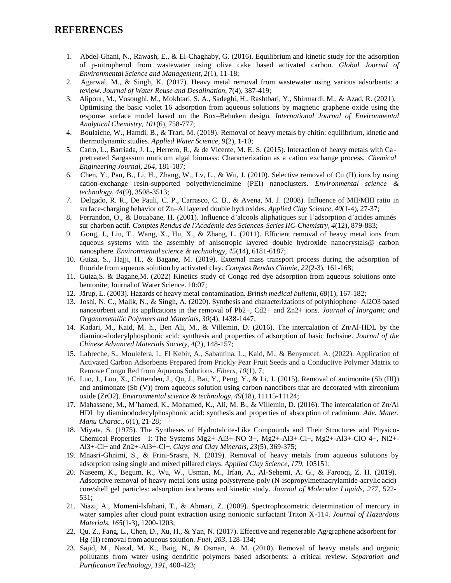#### **REFERENCES**

- 1. Abdel-Ghani, N., Rawash, E., & El-Chaghaby, G. (2016). Equilibrium and kinetic study for the adsorption of p-nitrophenol from wastewater using olive cake based activated carbon. *Global Journal of Environmental Science and Management, 2*(1), 11-18;
- 2. Agarwal, M., & Singh, K. (2017). Heavy metal removal from wastewater using various adsorbents: a review. *Journal of Water Reuse and Desalination, 7*(4), 387-419;
- 3. Alipour, M., Vosoughi, M., Mokhtari, S. A., Sadeghi, H., Rashtbari, Y., Shirmardi, M., & Azad, R. (2021). Optimising the basic violet 16 adsorption from aqueous solutions by magnetic graphene oxide using the response surface model based on the Box–Behnken design. *International Journal of Environmental Analytical Chemistry, 101*(6), 758-777;
- 4. Boulaiche, W., Hamdi, B., & Trari, M. (2019). Removal of heavy metals by chitin: equilibrium, kinetic and thermodynamic studies. *Applied Water Science, 9*(2), 1-10;
- 5. Carro, L., Barriada, J. L., Herrero, R., & de Vicente, M. E. S. (2015). Interaction of heavy metals with Capretreated Sargassum muticum algal biomass: Characterization as a cation exchange process. *Chemical Engineering Journal, 264*, 181-187;
- 6. Chen, Y., Pan, B., Li, H., Zhang, W., Lv, L., & Wu, J. (2010). Selective removal of Cu (II) ions by using cation-exchange resin-supported polyethyleneimine (PEI) nanoclusters. *Environmental science & technology, 44*(9), 3508-3513;
- 7. Delgado, R. R., De Pauli, C. P., Carrasco, C. B., & Avena, M. J. (2008). Influence of MII/MIII ratio in surface-charging behavior of Zn–Al layered double hydroxides. *Applied Clay Science, 40*(1-4), 27-37;
- 8. Ferrandon, O., & Bouabane, H. (2001). Influence d'alcools aliphatiques sur l'adsorption d'acides aminés sur charbon actif. *Comptes Rendus de l'Académie des Sciences-SeriesIIC-Chemistry, 4*(12), 879-883;
- 9. Gong, J., Liu, T., Wang, X., Hu, X., & Zhang, L. (2011). Efficient removal of heavy metal ions from aqueous systems with the assembly of anisotropic layered double hydroxide nanocrystals@ carbon nanosphere. *Environmental science* & *technology*, 45(14), 6181-6187;
- 10. Guiza, S., Hajji, H., & Bagane, M. (2019). External mass transport process during the adsorption of fluoride from aqueous solution by activated clay. *Comptes Rendus Chimie, 22*(2-3), 161-168;
- 11. Guiza,S. & Bagane,M. (2022) Kinetics study of Congo red dye adsorption from aqueous solutions onto bentonite; Journal of Water Science. 10:07;
- 12. Järup, L. (2003). Hazards of heavy metal contamination. *British medical bulletin, 68*(1), 167-182;
- 13. Joshi, N. C., Malik, N., & Singh, A. (2020). Synthesis and characterizations of polythiophene–Al2O3 based nanosorbent and its applications in the removal of Pb2+, Cd2+ and Zn2+ ions. *Journal of Inorganic and Organometallic Polymers and Materials, 30*(4), 1438-1447;
- 14. Kadari, M., Kaid, M. h., Ben Ali, M., & Villemin, D. (2016). The intercalation of Zn/Al-HDL by the diamino-dodecylphosphonic acid: synthesis and properties of adsorption of basic fuchsine. *Journal of the Chinese Advanced Materials Society, 4*(2), 148-157;
- 15. Lahreche, S., Moulefera, I., El Kebir, A., Sabantina, L., Kaid, M., & Benyoucef, A. (2022). Application of Activated Carbon Adsorbents Prepared from Prickly Pear Fruit Seeds and a Conductive Polymer Matrix to Remove Congo Red from Aqueous Solutions. *Fibers*, *10*(1), 7;
- 16. Luo, J., Luo, X., Crittenden, J., Qu, J., Bai, Y., Peng, Y., & Li, J. (2015). Removal of antimonite (Sb (III)) and antimonate (Sb (V)) from aqueous solution using carbon nanofibers that are decorated with zirconium oxide (ZrO2). *Environmentalscience & technology, 49*(18), 11115-11124;
- 17. Mahassene, M., M'hamed, K., Mohamed, K., Ali, M. B., & Villemin, D. (2016). The intercalation of Zn/Al HDL by diaminododecylphosphonic acid: synthesis and properties of absorption of cadmium. *Adv. Mater. Manu Charac., 6*(1), 21-28;
- 18. Miyata, S. (1975). The Syntheses of Hydrotalcite-Like Compounds and Their Structures and Physico-Chemical Properties—I: The Systems Mg2+-Al3+-NO 3−, Mg2+-Al3+-Cl−, Mg2+-Al3+-ClO 4−, Ni2+- Al3+-Cl− and Zn2+-Al3+-Cl−. *Clays and Clay Minerals, 23*(5), 369-375;
- 19. Mnasri-Ghnimi, S., & Frini-Srasra, N. (2019). Removal of heavy metals from aqueous solutions by adsorption using single and mixed pillared clays. *Applied Clay Science, 179*, 105151;
- 20. Naseem, K., Begum, R., Wu, W., Usman, M., Irfan, A., Al-Sehemi, A. G., & Farooqi, Z. H. (2019). Adsorptive removal of heavy metal ions using polystyrene-poly (N-isopropylmethacrylamide-acrylic acid) core/shell gel particles: adsorption isotherms and kinetic study. *Journal of Molecular Liquids, 277*, 522- 531;
- 21. Niazi, A., Momeni-Isfahani, T., & Ahmari, Z. (2009). Spectrophotometric determination of mercury in water samples after cloud point extraction using nonionic surfactant Triton X-114. *Journal of Hazardous Materials, 165*(1-3), 1200-1203;
- 22. Qu, Z., Fang, L., Chen, D., Xu, H., & Yan, N. (2017). Effective and regenerable Ag/graphene adsorbent for Hg (II) removal from aqueous solution. *Fuel, 203*, 128-134;
- 23. Sajid, M., Nazal, M. K., Baig, N., & Osman, A. M. (2018). Removal of heavy metals and organic pollutants from water using dendritic polymers based adsorbents: a critical review. *Separation and Purification Technology, 191*, 400-423;